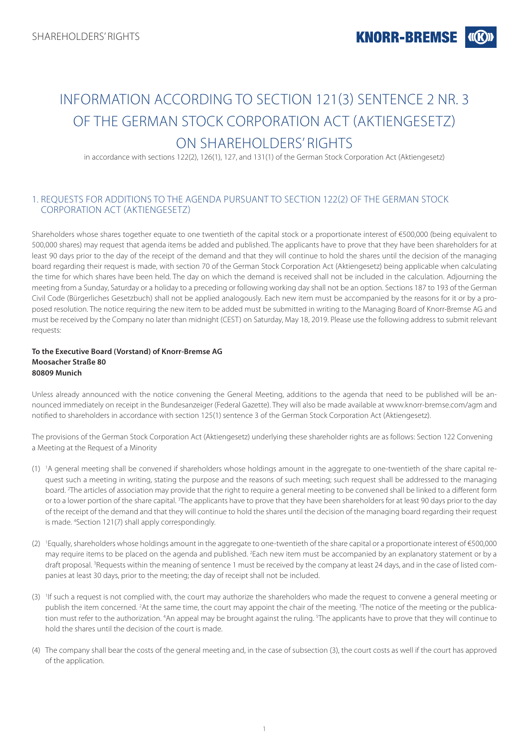# INFORMATION ACCORDING TO SECTION 121(3) SENTENCE 2 NR. 3 OF THE GERMAN STOCK CORPORATION ACT (AKTIENGESETZ) ON SHARFHOLDERS' RIGHTS

in accordance with sections 122(2), 126(1), 127, and 131(1) of the German Stock Corporation Act (Aktiengesetz)

## 1. REQUESTS FOR ADDITIONS TO THE AGENDA PURSUANT TO SECTION 122(2) OF THE GERMAN STOCK CORPORATION ACT (AKTIENGESETZ)

Shareholders whose shares together equate to one twentieth of the capital stock or a proportionate interest of €500,000 (being equivalent to 500,000 shares) may request that agenda items be added and published. The applicants have to prove that they have been shareholders for at least 90 days prior to the day of the receipt of the demand and that they will continue to hold the shares until the decision of the managing board regarding their request is made, with section 70 of the German Stock Corporation Act (Aktiengesetz) being applicable when calculating the time for which shares have been held. The day on which the demand is received shall not be included in the calculation. Adjourning the meeting from a Sunday, Saturday or a holiday to a preceding or following working day shall not be an option. Sections 187 to 193 of the German Civil Code (Bürgerliches Gesetzbuch) shall not be applied analogously. Each new item must be accompanied by the reasons for it or by a proposed resolution. The notice requiring the new item to be added must be submitted in writing to the Managing Board of Knorr-Bremse AG and must be received by the Company no later than midnight (CEST) on Saturday, May 18, 2019. Please use the following address to submit relevant requests:

## **To the Executive Board (Vorstand) of Knorr-Bremse AG Moosacher Straße 80 80809 Munich**

Unless already announced with the notice convening the General Meeting, additions to the agenda that need to be published will be announced immediately on receipt in the Bundesanzeiger (Federal Gazette). They will also be made available at www.knorr-bremse.com/agm and notified to shareholders in accordance with section 125(1) sentence 3 of the German Stock Corporation Act (Aktiengesetz).

The provisions of the German Stock Corporation Act (Aktiengesetz) underlying these shareholder rights are as follows: Section 122 Convening a Meeting at the Request of a Minority

- (1) 1 A general meeting shall be convened if shareholders whose holdings amount in the aggregate to one-twentieth of the share capital request such a meeting in writing, stating the purpose and the reasons of such meeting; such request shall be addressed to the managing board. 2 The articles of association may provide that the right to require a general meeting to be convened shall be linked to a different form or to a lower portion of the share capital. <sup>3</sup>The applicants have to prove that they have been shareholders for at least 90 days prior to the day of the receipt of the demand and that they will continue to hold the shares until the decision of the managing board regarding their request is made. 4 Section 121(7) shall apply correspondingly.
- (2) <sup>1</sup> Equally, shareholders whose holdings amount in the aggregate to one-twentieth of the share capital or a proportionate interest of  $\epsilon$ 500,000 may require items to be placed on the agenda and published. <sup>2</sup>Each new item must be accompanied by an explanatory statement or by a draft proposal. <sup>3</sup>Requests within the meaning of sentence 1 must be received by the company at least 24 days, and in the case of listed companies at least 30 days, prior to the meeting; the day of receipt shall not be included.
- (3) If such a request is not complied with, the court may authorize the shareholders who made the request to convene a general meeting or publish the item concerned. <sup>2</sup>At the same time, the court may appoint the chair of the meeting. <sup>3</sup>The notice of the meeting or the publication must refer to the authorization. <sup>4</sup>An appeal may be brought against the ruling. <sup>5</sup>The applicants have to prove that they will continue to hold the shares until the decision of the court is made.
- (4) The company shall bear the costs of the general meeting and, in the case of subsection (3), the court costs as well if the court has approved of the application.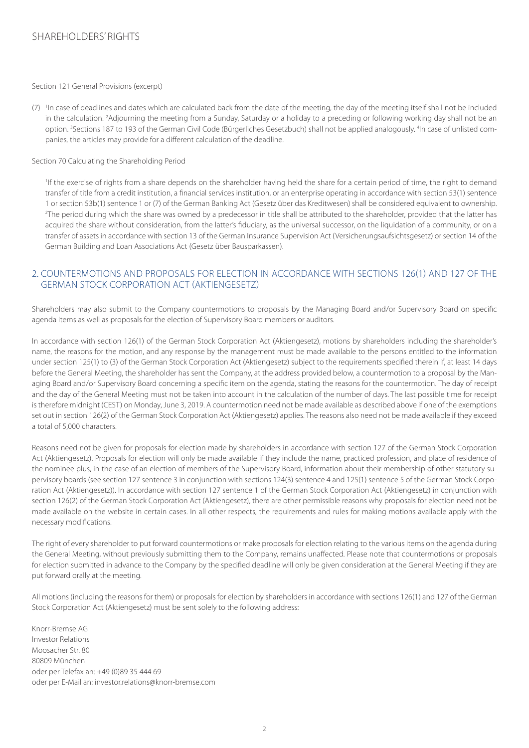# SHARFHOLDERS' RIGHTS

#### Section 121 General Provisions (excerpt)

(7) In case of deadlines and dates which are calculated back from the date of the meeting, the day of the meeting itself shall not be included in the calculation. <sup>2</sup>Adjourning the meeting from a Sunday, Saturday or a holiday to a preceding or following working day shall not be an option. <sup>3</sup>Sections 187 to 193 of the German Civil Code (Bürgerliches Gesetzbuch) shall not be applied analogously. <sup>4</sup>In case of unlisted companies, the articles may provide for a different calculation of the deadline.

#### Section 70 Calculating the Shareholding Period

 1 If the exercise of rights from a share depends on the shareholder having held the share for a certain period of time, the right to demand transfer of title from a credit institution, a financial services institution, or an enterprise operating in accordance with section 53(1) sentence 1 or section 53b(1) sentence 1 or (7) of the German Banking Act (Gesetz über das Kreditwesen) shall be considered equivalent to ownership. 2 The period during which the share was owned by a predecessor in title shall be attributed to the shareholder, provided that the latter has acquired the share without consideration, from the latter's fiduciary, as the universal successor, on the liquidation of a community, or on a transfer of assets in accordance with section 13 of the German Insurance Supervision Act (Versicherungsaufsichtsgesetz) or section 14 of the German Building and Loan Associations Act (Gesetz über Bausparkassen).

## 2. COUNTERMOTIONS AND PROPOSALS FOR ELECTION IN ACCORDANCE WITH SECTIONS 126(1) AND 127 OF THE GERMAN STOCK CORPORATION ACT (AKTIENGESETZ)

Shareholders may also submit to the Company countermotions to proposals by the Managing Board and/or Supervisory Board on specific agenda items as well as proposals for the election of Supervisory Board members or auditors.

In accordance with section 126(1) of the German Stock Corporation Act (Aktiengesetz), motions by shareholders including the shareholder's name, the reasons for the motion, and any response by the management must be made available to the persons entitled to the information under section 125(1) to (3) of the German Stock Corporation Act (Aktiengesetz) subject to the requirements specified therein if, at least 14 days before the General Meeting, the shareholder has sent the Company, at the address provided below, a countermotion to a proposal by the Managing Board and/or Supervisory Board concerning a specific item on the agenda, stating the reasons for the countermotion. The day of receipt and the day of the General Meeting must not be taken into account in the calculation of the number of days. The last possible time for receipt is therefore midnight (CEST) on Monday, June 3, 2019. A countermotion need not be made available as described above if one of the exemptions set out in section 126(2) of the German Stock Corporation Act (Aktiengesetz) applies. The reasons also need not be made available if they exceed a total of 5,000 characters.

Reasons need not be given for proposals for election made by shareholders in accordance with section 127 of the German Stock Corporation Act (Aktiengesetz). Proposals for election will only be made available if they include the name, practiced profession, and place of residence of the nominee plus, in the case of an election of members of the Supervisory Board, information about their membership of other statutory supervisory boards (see section 127 sentence 3 in conjunction with sections 124(3) sentence 4 and 125(1) sentence 5 of the German Stock Corporation Act (Aktiengesetz)). In accordance with section 127 sentence 1 of the German Stock Corporation Act (Aktiengesetz) in conjunction with section 126(2) of the German Stock Corporation Act (Aktiengesetz), there are other permissible reasons why proposals for election need not be made available on the website in certain cases. In all other respects, the requirements and rules for making motions available apply with the necessary modifications.

The right of every shareholder to put forward countermotions or make proposals for election relating to the various items on the agenda during the General Meeting, without previously submitting them to the Company, remains unaffected. Please note that countermotions or proposals for election submitted in advance to the Company by the specified deadline will only be given consideration at the General Meeting if they are put forward orally at the meeting.

All motions (including the reasons for them) or proposals for election by shareholders in accordance with sections 126(1) and 127 of the German Stock Corporation Act (Aktiengesetz) must be sent solely to the following address:

Knorr-Bremse AG Investor Relations Moosacher Str. 80 80809 München oder per Telefax an: +49 (0)89 35 444 69 oder per E-Mail an: investor.relations@knorr-bremse.com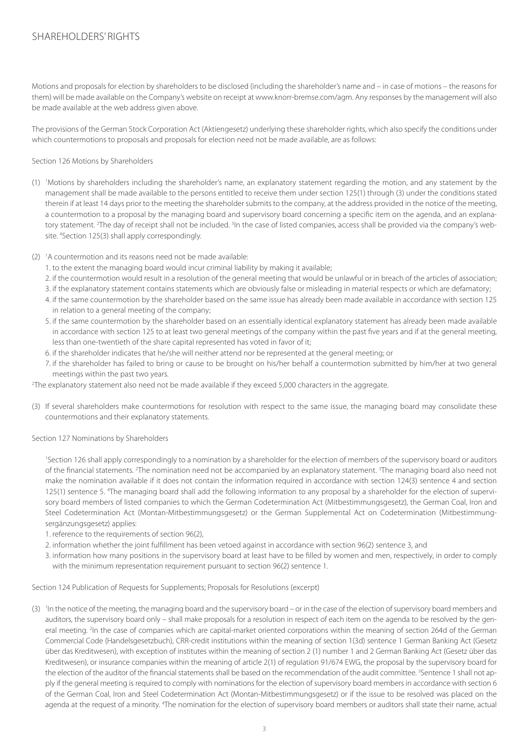Motions and proposals for election by shareholders to be disclosed (including the shareholder's name and – in case of motions – the reasons for them) will be made available on the Company's website on receipt at www.knorr-bremse.com/agm. Any responses by the management will also be made available at the web address given above.

The provisions of the German Stock Corporation Act (Aktiengesetz) underlying these shareholder rights, which also specify the conditions under which countermotions to proposals and proposals for election need not be made available, are as follows:

Section 126 Motions by Shareholders

- (1) 1 Motions by shareholders including the shareholder's name, an explanatory statement regarding the motion, and any statement by the management shall be made available to the persons entitled to receive them under section 125(1) through (3) under the conditions stated therein if at least 14 days prior to the meeting the shareholder submits to the company, at the address provided in the notice of the meeting, a countermotion to a proposal by the managing board and supervisory board concerning a specific item on the agenda, and an explanatory statement. <sup>2</sup>The day of receipt shall not be included. <sup>3</sup>In the case of listed companies, access shall be provided via the company's website. 4 Section 125(3) shall apply correspondingly.
- (2) 1 A countermotion and its reasons need not be made available:
	- 1. to the extent the managing board would incur criminal liability by making it available;
	- 2. if the countermotion would result in a resolution of the general meeting that would be unlawful or in breach of the articles of association;
	- 3. if the explanatory statement contains statements which are obviously false or misleading in material respects or which are defamatory;
	- 4. if the same countermotion by the shareholder based on the same issue has already been made available in accordance with section 125 in relation to a general meeting of the company;
	- 5. if the same countermotion by the shareholder based on an essentially identical explanatory statement has already been made available in accordance with section 125 to at least two general meetings of the company within the past five years and if at the general meeting, less than one-twentieth of the share capital represented has voted in favor of it;
	- 6. if the shareholder indicates that he/she will neither attend nor be represented at the general meeting; or
	- 7. if the shareholder has failed to bring or cause to be brought on his/her behalf a countermotion submitted by him/her at two general meetings within the past two years.
- 2 The explanatory statement also need not be made available if they exceed 5,000 characters in the aggregate.
- (3) If several shareholders make countermotions for resolution with respect to the same issue, the managing board may consolidate these countermotions and their explanatory statements.

## Section 127 Nominations by Shareholders

<sup>1</sup>Section 126 shall apply correspondingly to a nomination by a shareholder for the election of members of the supervisory board or auditors of the financial statements. <sup>2</sup>The nomination need not be accompanied by an explanatory statement. <sup>3</sup>The managing board also need not make the nomination available if it does not contain the information required in accordance with section 124(3) sentence 4 and section 125(1) sentence 5. 4 The managing board shall add the following information to any proposal by a shareholder for the election of supervisory board members of listed companies to which the German Codetermination Act (Mitbestimmungsgesetz), the German Coal, Iron and Steel Codetermination Act (Montan-Mitbestimmungsgesetz) or the German Supplemental Act on Codetermination (Mitbestimmungsergänzungsgesetz) applies:

1. reference to the requirements of section 96(2),

2. information whether the joint fulfillment has been vetoed against in accordance with section 96(2) sentence 3, and

3. information how many positions in the supervisory board at least have to be filled by women and men, respectively, in order to comply with the minimum representation requirement pursuant to section 96(2) sentence 1.

## Section 124 Publication of Requests for Supplements; Proposals for Resolutions (excerpt)

(3) In the notice of the meeting, the managing board and the supervisory board – or in the case of the election of supervisory board members and auditors, the supervisory board only – shall make proposals for a resolution in respect of each item on the agenda to be resolved by the general meeting. <sup>2</sup>In the case of companies which are capital-market oriented corporations within the meaning of section 264d of the German Commercial Code (Handelsgesetzbuch), CRR-credit institutions within the meaning of section 1(3d) sentence 1 German Banking Act (Gesetz über das Kreditwesen), with exception of institutes within the meaning of section 2 (1) number 1 and 2 German Banking Act (Gesetz über das Kreditwesen), or insurance companies within the meaning of article 2(1) of regulation 91/674 EWG, the proposal by the supervisory board for the election of the auditor of the financial statements shall be based on the recommendation of the audit committee. <sup>3</sup>Sentence 1 shall not apply if the general meeting is required to comply with nominations for the election of supervisory board members in accordance with section 6 of the German Coal, Iron and Steel Codetermination Act (Montan-Mitbestimmungsgesetz) or if the issue to be resolved was placed on the agenda at the request of a minority. <sup>4</sup>The nomination for the election of supervisory board members or auditors shall state their name, actual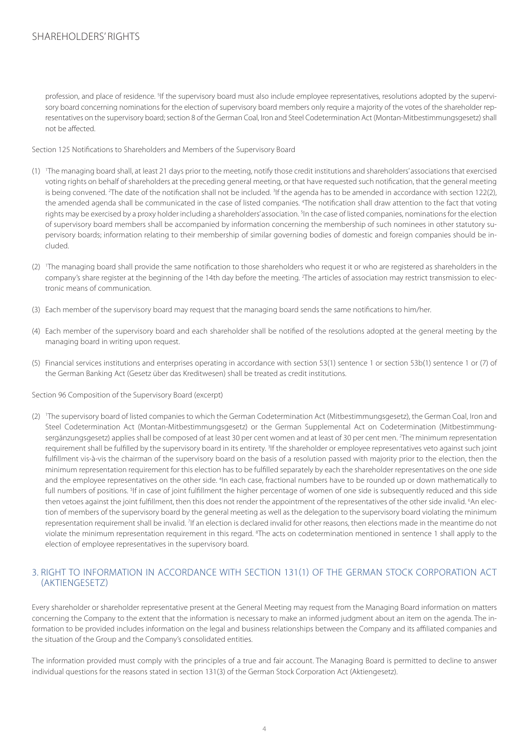profession, and place of residence. <sup>5</sup>If the supervisory board must also include employee representatives, resolutions adopted by the supervisory board concerning nominations for the election of supervisory board members only require a majority of the votes of the shareholder representatives on the supervisory board; section 8 of the German Coal, Iron and Steel Codetermination Act (Montan-Mitbestimmungsgesetz) shall not be affected.

Section 125 Notifications to Shareholders and Members of the Supervisory Board

- (1) 1 The managing board shall, at least 21 days prior to the meeting, notify those credit institutions and shareholders' associations that exercised voting rights on behalf of shareholders at the preceding general meeting, or that have requested such notification, that the general meeting is being convened. <sup>2</sup>The date of the notification shall not be included. <sup>3</sup>If the agenda has to be amended in accordance with section 122(2), the amended agenda shall be communicated in the case of listed companies. <sup>4</sup>The notification shall draw attention to the fact that voting rights may be exercised by a proxy holder including a shareholders' association. <sup>5</sup>In the case of listed companies, nominations for the election of supervisory board members shall be accompanied by information concerning the membership of such nominees in other statutory supervisory boards; information relating to their membership of similar governing bodies of domestic and foreign companies should be included.
- (2) The managing board shall provide the same notification to those shareholders who request it or who are registered as shareholders in the company's share register at the beginning of the 14th day before the meeting. <sup>2</sup>The articles of association may restrict transmission to electronic means of communication.
- (3) Each member of the supervisory board may request that the managing board sends the same notifications to him/her.
- (4) Each member of the supervisory board and each shareholder shall be notified of the resolutions adopted at the general meeting by the managing board in writing upon request.
- (5) Financial services institutions and enterprises operating in accordance with section 53(1) sentence 1 or section 53b(1) sentence 1 or (7) of the German Banking Act (Gesetz über das Kreditwesen) shall be treated as credit institutions.

Section 96 Composition of the Supervisory Board (excerpt)

(2) The supervisory board of listed companies to which the German Codetermination Act (Mitbestimmungsgesetz), the German Coal, Iron and Steel Codetermination Act (Montan-Mitbestimmungsgesetz) or the German Supplemental Act on Codetermination (Mitbestimmungsergänzungsgesetz) applies shall be composed of at least 30 per cent women and at least of 30 per cent men. 2 The minimum representation requirement shall be fulfilled by the supervisory board in its entirety. <sup>3</sup>If the shareholder or employee representatives veto against such joint fulfillment vis-à-vis the chairman of the supervisory board on the basis of a resolution passed with majority prior to the election, then the minimum representation requirement for this election has to be fulfilled separately by each the shareholder representatives on the one side and the employee representatives on the other side. <sup>4</sup>In each case, fractional numbers have to be rounded up or down mathematically to full numbers of positions. <sup>5</sup>If in case of joint fulfillment the higher percentage of women of one side is subsequently reduced and this side then vetoes against the joint fulfillment, then this does not render the appointment of the representatives of the other side invalid. <sup>6</sup>An election of members of the supervisory board by the general meeting as well as the delegation to the supervisory board violating the minimum representation requirement shall be invalid. <sup>7</sup>If an election is declared invalid for other reasons, then elections made in the meantime do not violate the minimum representation requirement in this regard. <sup>8</sup>The acts on codetermination mentioned in sentence 1 shall apply to the election of employee representatives in the supervisory board.

## 3. RIGHT TO INFORMATION IN ACCORDANCE WITH SECTION 131(1) OF THE GERMAN STOCK CORPORATION ACT (AKTIENGESETZ)

Every shareholder or shareholder representative present at the General Meeting may request from the Managing Board information on matters concerning the Company to the extent that the information is necessary to make an informed judgment about an item on the agenda. The information to be provided includes information on the legal and business relationships between the Company and its affiliated companies and the situation of the Group and the Company's consolidated entities.

The information provided must comply with the principles of a true and fair account. The Managing Board is permitted to decline to answer individual questions for the reasons stated in section 131(3) of the German Stock Corporation Act (Aktiengesetz).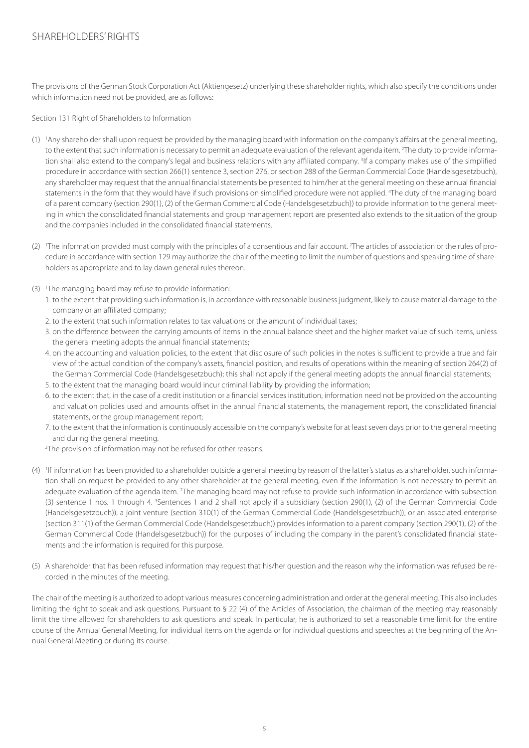# SHAREHOLDERS' RIGHTS

The provisions of the German Stock Corporation Act (Aktiengesetz) underlying these shareholder rights, which also specify the conditions under which information need not be provided, are as follows:

Section 131 Right of Shareholders to Information

- (1) 1 Any shareholder shall upon request be provided by the managing board with information on the company's affairs at the general meeting, to the extent that such information is necessary to permit an adequate evaluation of the relevant agenda item. <sup>2</sup>The duty to provide information shall also extend to the company's legal and business relations with any affiliated company. <sup>3</sup>If a company makes use of the simplified procedure in accordance with section 266(1) sentence 3, section 276, or section 288 of the German Commercial Code (Handelsgesetzbuch), any shareholder may request that the annual financial statements be presented to him/her at the general meeting on these annual financial statements in the form that they would have if such provisions on simplified procedure were not applied. <sup>4</sup>The duty of the managing board of a parent company (section 290(1), (2) of the German Commercial Code (Handelsgesetzbuch)) to provide information to the general meeting in which the consolidated financial statements and group management report are presented also extends to the situation of the group and the companies included in the consolidated financial statements.
- (2) The information provided must comply with the principles of a consentious and fair account. <sup>2</sup>The articles of association or the rules of procedure in accordance with section 129 may authorize the chair of the meeting to limit the number of questions and speaking time of shareholders as appropriate and to lay dawn general rules thereon.
- (3) <sup>1</sup> The managing board may refuse to provide information:
	- 1. to the extent that providing such information is, in accordance with reasonable business judgment, likely to cause material damage to the company or an affiliated company;
	- 2. to the extent that such information relates to tax valuations or the amount of individual taxes;
	- 3. on the difference between the carrying amounts of items in the annual balance sheet and the higher market value of such items, unless the general meeting adopts the annual financial statements;
	- 4. on the accounting and valuation policies, to the extent that disclosure of such policies in the notes is sufficient to provide a true and fair view of the actual condition of the company's assets, financial position, and results of operations within the meaning of section 264(2) of the German Commercial Code (Handelsgesetzbuch); this shall not apply if the general meeting adopts the annual financial statements;
	- 5. to the extent that the managing board would incur criminal liability by providing the information;
	- 6. to the extent that, in the case of a credit institution or a financial services institution, information need not be provided on the accounting and valuation policies used and amounts offset in the annual financial statements, the management report, the consolidated financial statements, or the group management report;
	- 7. to the extent that the information is continuously accessible on the company's website for at least seven days prior to the general meeting and during the general meeting.
	- 2 The provision of information may not be refused for other reasons.
- (4) 1 If information has been provided to a shareholder outside a general meeting by reason of the latter's status as a shareholder, such information shall on request be provided to any other shareholder at the general meeting, even if the information is not necessary to permit an adequate evaluation of the agenda item. <sup>2</sup>The managing board may not refuse to provide such information in accordance with subsection (3) sentence 1 nos. 1 through 4. <sup>3</sup>Sentences 1 and 2 shall not apply if a subsidiary (section 290(1), (2) of the German Commercial Code (Handelsgesetzbuch)), a joint venture (section 310(1) of the German Commercial Code (Handelsgesetzbuch)), or an associated enterprise (section 311(1) of the German Commercial Code (Handelsgesetzbuch)) provides information to a parent company (section 290(1), (2) of the German Commercial Code (Handelsgesetzbuch)) for the purposes of including the company in the parent's consolidated financial statements and the information is required for this purpose.
- (5) A shareholder that has been refused information may request that his/her question and the reason why the information was refused be recorded in the minutes of the meeting.

The chair of the meeting is authorized to adopt various measures concerning administration and order at the general meeting. This also includes limiting the right to speak and ask questions. Pursuant to § 22 (4) of the Articles of Association, the chairman of the meeting may reasonably limit the time allowed for shareholders to ask questions and speak. In particular, he is authorized to set a reasonable time limit for the entire course of the Annual General Meeting, for individual items on the agenda or for individual questions and speeches at the beginning of the Annual General Meeting or during its course.